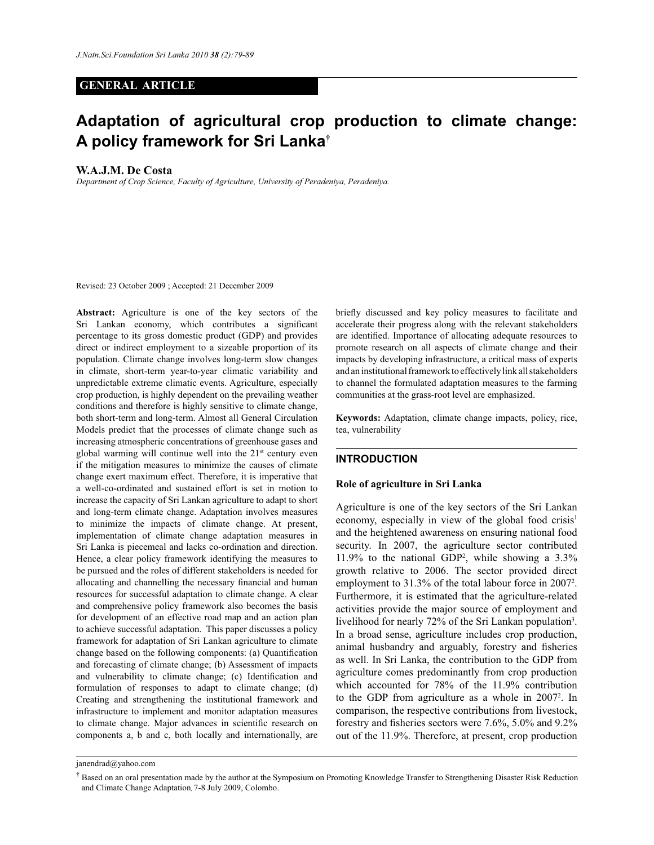## **GENERAL ARTICLE**

# **Adaptation of agricultural crop production to climate change: A policy framework for Sri Lanka†**

## **W.A.J.M. De Costa**

*Department of Crop Science, Faculty of Agriculture, University of Peradeniya, Peradeniya.*

Revised: 23 October 2009 ; Accepted: 21 December 2009

**Abstract:** Agriculture is one of the key sectors of the Sri Lankan economy, which contributes a significant percentage to its gross domestic product (GDP) and provides direct or indirect employment to a sizeable proportion of its population. Climate change involves long-term slow changes in climate, short-term year-to-year climatic variability and unpredictable extreme climatic events. Agriculture, especially crop production, is highly dependent on the prevailing weather conditions and therefore is highly sensitive to climate change, both short-term and long-term. Almost all General Circulation Models predict that the processes of climate change such as increasing atmospheric concentrations of greenhouse gases and global warming will continue well into the  $21<sup>st</sup>$  century even if the mitigation measures to minimize the causes of climate change exert maximum effect. Therefore, it is imperative that a well-co-ordinated and sustained effort is set in motion to increase the capacity of Sri Lankan agriculture to adapt to short and long-term climate change. Adaptation involves measures to minimize the impacts of climate change. At present, implementation of climate change adaptation measures in Sri Lanka is piecemeal and lacks co-ordination and direction. Hence, a clear policy framework identifying the measures to be pursued and the roles of different stakeholders is needed for allocating and channelling the necessary financial and human resources for successful adaptation to climate change. A clear and comprehensive policy framework also becomes the basis for development of an effective road map and an action plan to achieve successful adaptation. This paper discusses a policy framework for adaptation of Sri Lankan agriculture to climate change based on the following components: (a) Quantification and forecasting of climate change; (b) Assessment of impacts and vulnerability to climate change; (c) Identification and formulation of responses to adapt to climate change; (d) Creating and strengthening the institutional framework and infrastructure to implement and monitor adaptation measures to climate change. Major advances in scientific research on components a, b and c, both locally and internationally, are

briefly discussed and key policy measures to facilitate and accelerate their progress along with the relevant stakeholders are identified. Importance of allocating adequate resources to promote research on all aspects of climate change and their impacts by developing infrastructure, a critical mass of experts and an institutional framework to effectively link all stakeholders to channel the formulated adaptation measures to the farming communities at the grass-root level are emphasized.

**Keywords:** Adaptation, climate change impacts, policy, rice, tea, vulnerability

#### **INTRODUCTION**

#### **Role of agriculture in Sri Lanka**

Agriculture is one of the key sectors of the Sri Lankan economy, especially in view of the global food crisis<sup>1</sup> and the heightened awareness on ensuring national food security. In 2007, the agriculture sector contributed 11.9% to the national GDP<sup>2</sup>, while showing a  $3.3\%$ growth relative to 2006. The sector provided direct employment to 31.3% of the total labour force in 2007<sup>2</sup>. Furthermore, it is estimated that the agriculture-related activities provide the major source of employment and livelihood for nearly 72% of the Sri Lankan population<sup>3</sup>. In a broad sense, agriculture includes crop production, animal husbandry and arguably, forestry and fisheries as well. In Sri Lanka, the contribution to the GDP from agriculture comes predominantly from crop production which accounted for 78% of the 11.9% contribution to the GDP from agriculture as a whole in 2007<sup>2</sup>. In comparison, the respective contributions from livestock, forestry and fisheries sectors were 7.6%, 5.0% and 9.2% out of the 11.9%. Therefore, at present, crop production

janendrad@yahoo.com

**<sup>†</sup>** Based on an oral presentation made by the author at the Symposium on Promoting Knowledge Transfer to Strengthening Disaster Risk Reduction and Climate Change Adaptation, 7-8 July 2009, Colombo.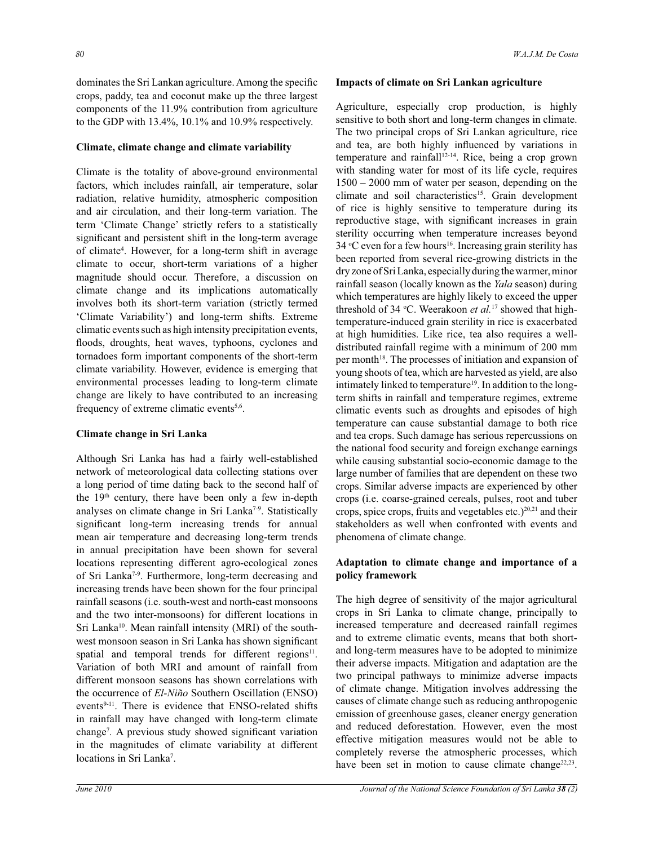dominates the Sri Lankan agriculture. Among the specific crops, paddy, tea and coconut make up the three largest components of the 11.9% contribution from agriculture to the GDP with 13.4%, 10.1% and 10.9% respectively.

#### **Climate, climate change and climate variability**

Climate is the totality of above-ground environmental factors, which includes rainfall, air temperature, solar radiation, relative humidity, atmospheric composition and air circulation, and their long-term variation. The term 'Climate Change' strictly refers to a statistically significant and persistent shift in the long-term average of climate<sup>4</sup>. However, for a long-term shift in average climate to occur, short-term variations of a higher magnitude should occur. Therefore, a discussion on climate change and its implications automatically involves both its short-term variation (strictly termed 'Climate Variability') and long-term shifts. Extreme climatic events such as high intensity precipitation events, floods, droughts, heat waves, typhoons, cyclones and tornadoes form important components of the short-term climate variability. However, evidence is emerging that environmental processes leading to long-term climate change are likely to have contributed to an increasing frequency of extreme climatic events<sup>5,6</sup>.

# **Climate change in Sri Lanka**

Although Sri Lanka has had a fairly well-established network of meteorological data collecting stations over a long period of time dating back to the second half of the 19<sup>th</sup> century, there have been only a few in-depth analyses on climate change in Sri Lanka<sup>7-9</sup>. Statistically significant long-term increasing trends for annual mean air temperature and decreasing long-term trends in annual precipitation have been shown for several locations representing different agro-ecological zones of Sri Lanka7-9. Furthermore, long-term decreasing and increasing trends have been shown for the four principal rainfall seasons (i.e. south-west and north-east monsoons and the two inter-monsoons) for different locations in Sri Lanka<sup>10</sup>. Mean rainfall intensity (MRI) of the southwest monsoon season in Sri Lanka has shown significant spatial and temporal trends for different regions<sup>11</sup>. Variation of both MRI and amount of rainfall from different monsoon seasons has shown correlations with the occurrence of *El-Niño* Southern Oscillation (ENSO) events<sup>9-11</sup>. There is evidence that ENSO-related shifts in rainfall may have changed with long-term climate change<sup>7</sup> *.* A previous study showed significant variation in the magnitudes of climate variability at different locations in Sri Lanka<sup>7</sup>.

### **Impacts of climate on Sri Lankan agriculture**

Agriculture, especially crop production, is highly sensitive to both short and long-term changes in climate. The two principal crops of Sri Lankan agriculture, rice and tea, are both highly influenced by variations in temperature and rainfall<sup>12-14</sup>. Rice, being a crop grown with standing water for most of its life cycle, requires 1500 – 2000 mm of water per season, depending on the climate and soil characteristics<sup>15</sup>. Grain development of rice is highly sensitive to temperature during its reproductive stage, with significant increases in grain sterility occurring when temperature increases beyond 34 °C even for a few hours<sup>16</sup>. Increasing grain sterility has been reported from several rice-growing districts in the dry zone of Sri Lanka, especially during the warmer, minor rainfall season (locally known as the *Yala* season) during which temperatures are highly likely to exceed the upper threshold of 34 °C. Weerakoon *et al.*<sup>17</sup> showed that hightemperature-induced grain sterility in rice is exacerbated at high humidities. Like rice, tea also requires a welldistributed rainfall regime with a minimum of 200 mm per month<sup>18</sup>. The processes of initiation and expansion of young shoots of tea, which are harvested as yield, are also intimately linked to temperature<sup>19</sup>. In addition to the longterm shifts in rainfall and temperature regimes, extreme climatic events such as droughts and episodes of high temperature can cause substantial damage to both rice and tea crops. Such damage has serious repercussions on the national food security and foreign exchange earnings while causing substantial socio-economic damage to the large number of families that are dependent on these two crops. Similar adverse impacts are experienced by other crops (i.e. coarse-grained cereals, pulses, root and tuber crops, spice crops, fruits and vegetables etc.) $^{20,21}$  and their stakeholders as well when confronted with events and phenomena of climate change.

## **Adaptation to climate change and importance of a policy framework**

The high degree of sensitivity of the major agricultural crops in Sri Lanka to climate change, principally to increased temperature and decreased rainfall regimes and to extreme climatic events, means that both shortand long-term measures have to be adopted to minimize their adverse impacts. Mitigation and adaptation are the two principal pathways to minimize adverse impacts of climate change. Mitigation involves addressing the causes of climate change such as reducing anthropogenic emission of greenhouse gases, cleaner energy generation and reduced deforestation. However, even the most effective mitigation measures would not be able to completely reverse the atmospheric processes, which have been set in motion to cause climate change<sup>22,23</sup>.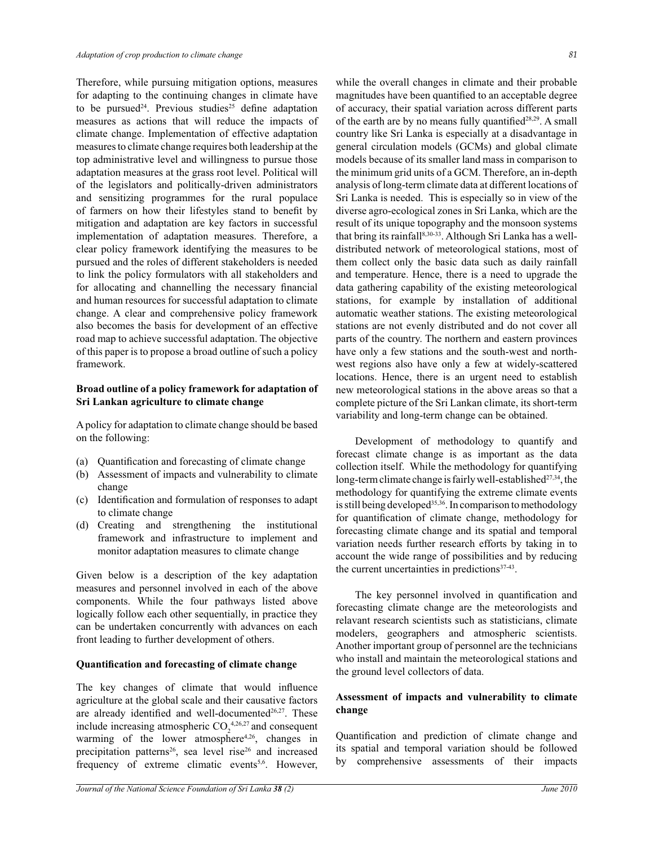Therefore, while pursuing mitigation options, measures for adapting to the continuing changes in climate have to be pursued<sup>24</sup>. Previous studies<sup>25</sup> define adaptation measures as actions that will reduce the impacts of climate change. Implementation of effective adaptation measures to climate change requires both leadership at the top administrative level and willingness to pursue those adaptation measures at the grass root level. Political will of the legislators and politically-driven administrators and sensitizing programmes for the rural populace of farmers on how their lifestyles stand to benefit by mitigation and adaptation are key factors in successful implementation of adaptation measures. Therefore, a clear policy framework identifying the measures to be pursued and the roles of different stakeholders is needed to link the policy formulators with all stakeholders and for allocating and channelling the necessary financial and human resources for successful adaptation to climate change. A clear and comprehensive policy framework also becomes the basis for development of an effective road map to achieve successful adaptation. The objective of this paper is to propose a broad outline of such a policy framework.

## **Broad outline of a policy framework for adaptation of Sri Lankan agriculture to climate change**

A policy for adaptation to climate change should be based on the following:

- (a) Quantification and forecasting of climate change
- (b) Assessment of impacts and vulnerability to climate change
- (c) Identification and formulation of responses to adapt to climate change
- (d) Creating and strengthening the institutional framework and infrastructure to implement and monitor adaptation measures to climate change

Given below is a description of the key adaptation measures and personnel involved in each of the above components. While the four pathways listed above logically follow each other sequentially, in practice they can be undertaken concurrently with advances on each front leading to further development of others.

#### **Quantification and forecasting of climate change**

The key changes of climate that would influence agriculture at the global scale and their causative factors are already identified and well-documented $26,27$ . These include increasing atmospheric  $CO_2^{4,26,27}$  and consequent warming of the lower atmosphere<sup>4,26</sup>, changes in precipitation patterns<sup>26</sup>, sea level rise<sup>26</sup> and increased frequency of extreme climatic events<sup>5,6</sup>. However,

while the overall changes in climate and their probable magnitudes have been quantified to an acceptable degree of accuracy, their spatial variation across different parts of the earth are by no means fully quantified<sup>28,29</sup>. A small country like Sri Lanka is especially at a disadvantage in general circulation models (GCMs) and global climate models because of its smaller land mass in comparison to the minimum grid units of a GCM. Therefore, an in-depth analysis of long-term climate data at different locations of Sri Lanka is needed. This is especially so in view of the diverse agro-ecological zones in Sri Lanka, which are the result of its unique topography and the monsoon systems that bring its rainfall<sup>8,30-33</sup>. Although Sri Lanka has a welldistributed network of meteorological stations, most of them collect only the basic data such as daily rainfall and temperature. Hence, there is a need to upgrade the data gathering capability of the existing meteorological stations, for example by installation of additional automatic weather stations. The existing meteorological stations are not evenly distributed and do not cover all parts of the country. The northern and eastern provinces have only a few stations and the south-west and northwest regions also have only a few at widely-scattered locations. Hence, there is an urgent need to establish new meteorological stations in the above areas so that a complete picture of the Sri Lankan climate, its short-term variability and long-term change can be obtained.

Development of methodology to quantify and forecast climate change is as important as the data collection itself. While the methodology for quantifying long-term climate change is fairly well-established<sup>27,34</sup>, the methodology for quantifying the extreme climate events is still being developed<sup>35,36</sup>. In comparison to methodology for quantification of climate change, methodology for forecasting climate change and its spatial and temporal variation needs further research efforts by taking in to account the wide range of possibilities and by reducing the current uncertainties in predictions<sup>37-43</sup>.

The key personnel involved in quantification and forecasting climate change are the meteorologists and relavant research scientists such as statisticians, climate modelers, geographers and atmospheric scientists. Another important group of personnel are the technicians who install and maintain the meteorological stations and the ground level collectors of data.

# **Assessment of impacts and vulnerability to climate change**

Quantification and prediction of climate change and its spatial and temporal variation should be followed by comprehensive assessments of their impacts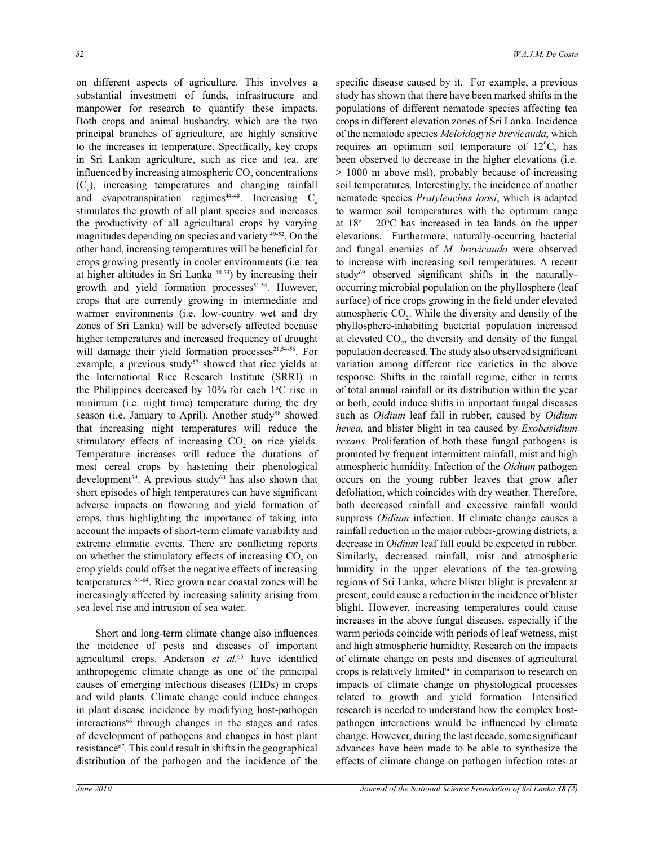on different aspects of agriculture. This involves a substantial investment of funds, infrastructure and manpower for research to quantify these impacts. Both crops and animal husbandry, which are the two principal branches of agriculture, are highly sensitive to the increases in temperature. Specifically, key crops in Sri Lankan agriculture, such as rice and tea, are influenced by increasing atmospheric  $CO<sub>2</sub>$  concentrations  $(C_a)$ , increasing temperatures and changing rainfall and evapotranspiration regimes<sup>44-48</sup>. Increasing  $C<sub>a</sub>$ stimulates the growth of all plant species and increases the productivity of all agricultural crops by varying magnitudes depending on species and variety 49-52. On the other hand, increasing temperatures will be beneficial for crops growing presently in cooler environments (i.e. tea at higher altitudes in Sri Lanka 48,53) by increasing their growth and yield formation processes<sup>51,54</sup>. However, crops that are currently growing in intermediate and warmer environments (i.e. low-country wet and dry zones of Sri Lanka) will be adversely affected because higher temperatures and increased frequency of drought will damage their yield formation processes<sup>21,54-56</sup>. For example, a previous study<sup>57</sup> showed that rice yields at the International Rice Research Institute (SRRI) in the Philippines decreased by  $10\%$  for each  $1\degree$ C rise in minimum (i.e. night time) temperature during the dry season (i.e. January to April). Another study<sup>58</sup> showed that increasing night temperatures will reduce the stimulatory effects of increasing  $CO<sub>2</sub>$  on rice yields. Temperature increases will reduce the durations of most cereal crops by hastening their phenological development<sup>59</sup>. A previous study<sup>60</sup> has also shown that short episodes of high temperatures can have significant adverse impacts on flowering and yield formation of crops, thus highlighting the importance of taking into account the impacts of short-term climate variability and extreme climatic events. There are conflicting reports on whether the stimulatory effects of increasing  $CO<sub>2</sub>$  on crop yields could offset the negative effects of increasing temperatures 61-64. Rice grown near coastal zones will be increasingly affected by increasing salinity arising from sea level rise and intrusion of sea water.

 Short and long-term climate change also influences the incidence of pests and diseases of important agricultural crops. Anderson *et al.*<sup>65</sup> have identified anthropogenic climate change as one of the principal causes of emerging infectious diseases (EIDs) in crops and wild plants. Climate change could induce changes in plant disease incidence by modifying host-pathogen interactions<sup>66</sup> through changes in the stages and rates of development of pathogens and changes in host plant resistance<sup>67</sup>. This could result in shifts in the geographical distribution of the pathogen and the incidence of the specific disease caused by it. For example, a previous study has shown that there have been marked shifts in the populations of different nematode species affecting tea crops in different elevation zones of Sri Lanka. Incidence of the nematode species *Meloidogyne brevicauda*, which requires an optimum soil temperature of  $12^{\circ}$ C, has been observed to decrease in the higher elevations (i.e. > 1000 m above msl), probably because of increasing soil temperatures. Interestingly, the incidence of another nematode species *Pratylenchus loosi*, which is adapted to warmer soil temperatures with the optimum range at  $18^{\circ} - 20^{\circ}$ C has increased in tea lands on the upper elevations. Furthermore, naturally-occurring bacterial and fungal enemies of *M. brevicauda* were observed to increase with increasing soil temperatures. A recent study<sup>69</sup> observed significant shifts in the naturallyoccurring microbial population on the phyllosphere (leaf surface) of rice crops growing in the field under elevated atmospheric  $CO<sub>2</sub>$ . While the diversity and density of the phyllosphere-inhabiting bacterial population increased at elevated  $CO_2$ , the diversity and density of the fungal population decreased. The study also observed significant variation among different rice varieties in the above response. Shifts in the rainfall regime, either in terms of total annual rainfall or its distribution within the year or both, could induce shifts in important fungal diseases such as *Oidium* leaf fall in rubber, caused by *Oidium hevea,* and blister blight in tea caused by *Exobasidium vexans*. Proliferation of both these fungal pathogens is promoted by frequent intermittent rainfall, mist and high atmospheric humidity. Infection of the *Oidium* pathogen occurs on the young rubber leaves that grow after defoliation, which coincides with dry weather. Therefore, both decreased rainfall and excessive rainfall would suppress *Oidium* infection. If climate change causes a rainfall reduction in the major rubber-growing districts, a decrease in *Oidium* leaf fall could be expected in rubber. Similarly, decreased rainfall, mist and atmospheric humidity in the upper elevations of the tea-growing regions of Sri Lanka, where blister blight is prevalent at present, could cause a reduction in the incidence of blister blight. However, increasing temperatures could cause increases in the above fungal diseases, especially if the warm periods coincide with periods of leaf wetness, mist and high atmospheric humidity. Research on the impacts of climate change on pests and diseases of agricultural crops is relatively limited<sup>66</sup> in comparison to research on impacts of climate change on physiological processes related to growth and yield formation. Intensified research is needed to understand how the complex hostpathogen interactions would be influenced by climate change. However, during the last decade, some significant advances have been made to be able to synthesize the effects of climate change on pathogen infection rates at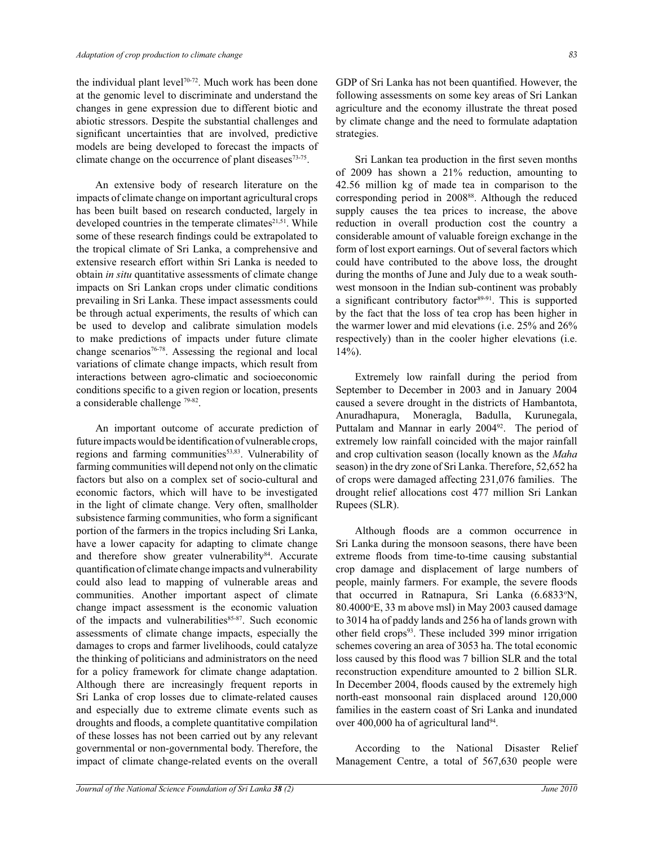the individual plant level<sup>70-72</sup>. Much work has been done at the genomic level to discriminate and understand the changes in gene expression due to different biotic and abiotic stressors. Despite the substantial challenges and significant uncertainties that are involved, predictive models are being developed to forecast the impacts of climate change on the occurrence of plant diseases<sup>73-75</sup>.

 An extensive body of research literature on the impacts of climate change on important agricultural crops has been built based on research conducted, largely in developed countries in the temperate climates<sup>21,51</sup>. While some of these research findings could be extrapolated to the tropical climate of Sri Lanka, a comprehensive and extensive research effort within Sri Lanka is needed to obtain *in situ* quantitative assessments of climate change impacts on Sri Lankan crops under climatic conditions prevailing in Sri Lanka. These impact assessments could be through actual experiments, the results of which can be used to develop and calibrate simulation models to make predictions of impacts under future climate change scenarios<sup>76-78</sup>. Assessing the regional and local variations of climate change impacts, which result from interactions between agro-climatic and socioeconomic conditions specific to a given region or location, presents a considerable challenge <sup>79-82</sup>.

An important outcome of accurate prediction of future impacts would be identification of vulnerable crops, regions and farming communities<sup>53,83</sup>. Vulnerability of farming communities will depend not only on the climatic factors but also on a complex set of socio-cultural and economic factors, which will have to be investigated in the light of climate change. Very often, smallholder subsistence farming communities, who form a significant portion of the farmers in the tropics including Sri Lanka, have a lower capacity for adapting to climate change and therefore show greater vulnerability84. Accurate quantification of climate change impacts and vulnerability could also lead to mapping of vulnerable areas and communities. Another important aspect of climate change impact assessment is the economic valuation of the impacts and vulnerabilities<sup>85-87</sup>. Such economic assessments of climate change impacts, especially the damages to crops and farmer livelihoods, could catalyze the thinking of politicians and administrators on the need for a policy framework for climate change adaptation. Although there are increasingly frequent reports in Sri Lanka of crop losses due to climate-related causes and especially due to extreme climate events such as droughts and floods, a complete quantitative compilation of these losses has not been carried out by any relevant governmental or non-governmental body. Therefore, the impact of climate change-related events on the overall

*Journal of the National Science Foundation of Sri Lanka 38 (2) June 2010* 

GDP of Sri Lanka has not been quantified. However, the following assessments on some key areas of Sri Lankan agriculture and the economy illustrate the threat posed by climate change and the need to formulate adaptation strategies.

Sri Lankan tea production in the first seven months of 2009 has shown a 21% reduction, amounting to 42.56 million kg of made tea in comparison to the corresponding period in 2008<sup>88</sup>. Although the reduced supply causes the tea prices to increase, the above reduction in overall production cost the country a considerable amount of valuable foreign exchange in the form of lost export earnings. Out of several factors which could have contributed to the above loss, the drought during the months of June and July due to a weak southwest monsoon in the Indian sub-continent was probably a significant contributory factor<sup>89-91</sup>. This is supported by the fact that the loss of tea crop has been higher in the warmer lower and mid elevations (i.e. 25% and 26% respectively) than in the cooler higher elevations (i.e. 14%).

Extremely low rainfall during the period from September to December in 2003 and in January 2004 caused a severe drought in the districts of Hambantota, Anuradhapura, Moneragla, Badulla, Kurunegala, Puttalam and Mannar in early 2004<sup>92</sup>. The period of extremely low rainfall coincided with the major rainfall and crop cultivation season (locally known as the *Maha* season) in the dry zone of Sri Lanka. Therefore, 52,652 ha of crops were damaged affecting 231,076 families. The drought relief allocations cost 477 million Sri Lankan Rupees (SLR).

Although floods are a common occurrence in Sri Lanka during the monsoon seasons, there have been extreme floods from time-to-time causing substantial crop damage and displacement of large numbers of people, mainly farmers. For example, the severe floods that occurred in Ratnapura, Sri Lanka (6.6833<sup>o</sup>N,  $80.4000\text{°E}$ , 33 m above msl) in May 2003 caused damage to 3014 ha of paddy lands and 256 ha of lands grown with other field crops<sup>93</sup>. These included 399 minor irrigation schemes covering an area of 3053 ha. The total economic loss caused by this flood was 7 billion SLR and the total reconstruction expenditure amounted to 2 billion SLR. In December 2004, floods caused by the extremely high north-east monsoonal rain displaced around 120,000 families in the eastern coast of Sri Lanka and inundated over 400,000 ha of agricultural land<sup>94</sup>.

 According to the National Disaster Relief Management Centre, a total of 567,630 people were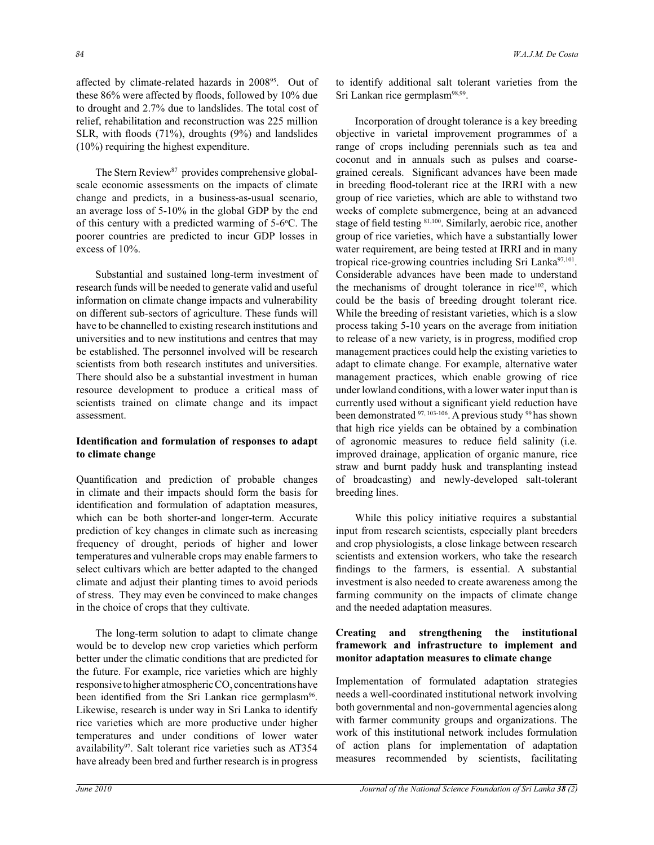affected by climate-related hazards in 2008<sup>95</sup>. Out of these 86% were affected by floods, followed by 10% due to drought and 2.7% due to landslides. The total cost of relief, rehabilitation and reconstruction was 225 million SLR, with floods (71%), droughts (9%) and landslides (10%) requiring the highest expenditure.

The Stern Review<sup>87</sup> provides comprehensive globalscale economic assessments on the impacts of climate change and predicts, in a business-as-usual scenario, an average loss of 5-10% in the global GDP by the end of this century with a predicted warming of 5-6°C. The poorer countries are predicted to incur GDP losses in excess of 10%.

Substantial and sustained long-term investment of research funds will be needed to generate valid and useful information on climate change impacts and vulnerability on different sub-sectors of agriculture. These funds will have to be channelled to existing research institutions and universities and to new institutions and centres that may be established. The personnel involved will be research scientists from both research institutes and universities. There should also be a substantial investment in human resource development to produce a critical mass of scientists trained on climate change and its impact assessment.

## **Identification and formulation of responses to adapt to climate change**

Quantification and prediction of probable changes in climate and their impacts should form the basis for identification and formulation of adaptation measures, which can be both shorter-and longer-term. Accurate prediction of key changes in climate such as increasing frequency of drought, periods of higher and lower temperatures and vulnerable crops may enable farmers to select cultivars which are better adapted to the changed climate and adjust their planting times to avoid periods of stress. They may even be convinced to make changes in the choice of crops that they cultivate.

 The long-term solution to adapt to climate change would be to develop new crop varieties which perform better under the climatic conditions that are predicted for the future. For example, rice varieties which are highly responsive to higher atmospheric  $\mathrm{CO}_2$  concentrations have been identified from the Sri Lankan rice germplasm<sup>96</sup>. Likewise, research is under way in Sri Lanka to identify rice varieties which are more productive under higher temperatures and under conditions of lower water availability<sup>97</sup>. Salt tolerant rice varieties such as AT354 have already been bred and further research is in progress

to identify additional salt tolerant varieties from the Sri Lankan rice germplasm<sup>98,99</sup>.

 Incorporation of drought tolerance is a key breeding objective in varietal improvement programmes of a range of crops including perennials such as tea and coconut and in annuals such as pulses and coarsegrained cereals. Significant advances have been made in breeding flood-tolerant rice at the IRRI with a new group of rice varieties, which are able to withstand two weeks of complete submergence, being at an advanced stage of field testing 81,100. Similarly, aerobic rice, another group of rice varieties, which have a substantially lower water requirement, are being tested at IRRI and in many tropical rice-growing countries including Sri Lanka<sup>97,101</sup>. Considerable advances have been made to understand the mechanisms of drought tolerance in rice<sup>102</sup>, which could be the basis of breeding drought tolerant rice. While the breeding of resistant varieties, which is a slow process taking 5-10 years on the average from initiation to release of a new variety, is in progress, modified crop management practices could help the existing varieties to adapt to climate change. For example, alternative water management practices, which enable growing of rice under lowland conditions, with a lower water input than is currently used without a significant yield reduction have been demonstrated <sup>97, 103-106</sup>. A previous study <sup>99</sup> has shown that high rice yields can be obtained by a combination of agronomic measures to reduce field salinity (i.e. improved drainage, application of organic manure, rice straw and burnt paddy husk and transplanting instead of broadcasting) and newly-developed salt-tolerant breeding lines.

While this policy initiative requires a substantial input from research scientists, especially plant breeders and crop physiologists, a close linkage between research scientists and extension workers, who take the research findings to the farmers, is essential. A substantial investment is also needed to create awareness among the farming community on the impacts of climate change and the needed adaptation measures.

# **Creating and strengthening the institutional framework and infrastructure to implement and monitor adaptation measures to climate change**

Implementation of formulated adaptation strategies needs a well-coordinated institutional network involving both governmental and non-governmental agencies along with farmer community groups and organizations. The work of this institutional network includes formulation of action plans for implementation of adaptation measures recommended by scientists, facilitating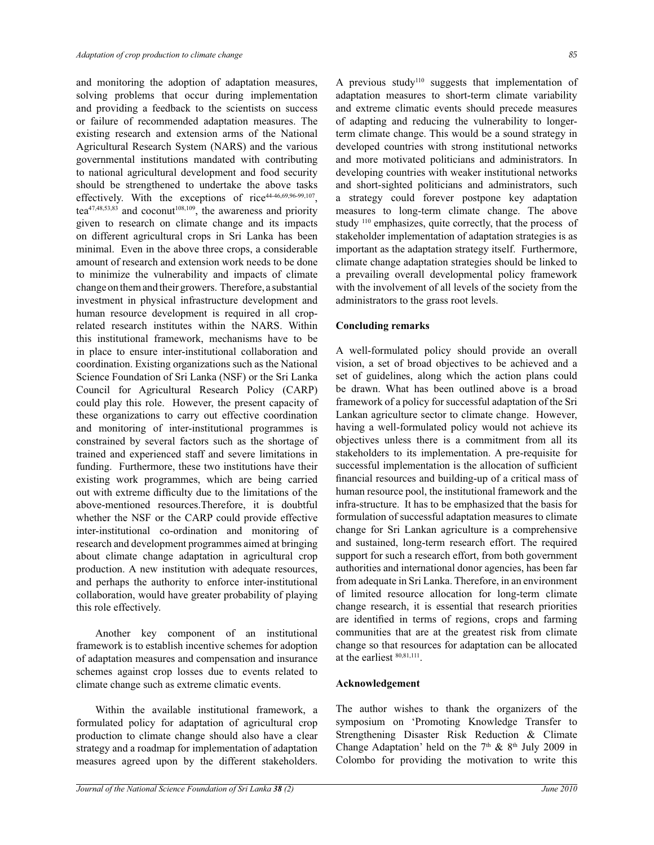and monitoring the adoption of adaptation measures, solving problems that occur during implementation and providing a feedback to the scientists on success or failure of recommended adaptation measures. The existing research and extension arms of the National Agricultural Research System (NARS) and the various governmental institutions mandated with contributing to national agricultural development and food security should be strengthened to undertake the above tasks effectively. With the exceptions of rice<sup>44-46,69,96-99,107</sup>, tea $47,48,53,83$  and coconut<sup>108,109</sup>, the awareness and priority given to research on climate change and its impacts on different agricultural crops in Sri Lanka has been minimal. Even in the above three crops, a considerable amount of research and extension work needs to be done to minimize the vulnerability and impacts of climate change on them and their growers. Therefore, a substantial investment in physical infrastructure development and human resource development is required in all croprelated research institutes within the NARS. Within this institutional framework, mechanisms have to be in place to ensure inter-institutional collaboration and coordination. Existing organizations such as the National Science Foundation of Sri Lanka (NSF) or the Sri Lanka Council for Agricultural Research Policy (CARP) could play this role. However, the present capacity of these organizations to carry out effective coordination and monitoring of inter-institutional programmes is constrained by several factors such as the shortage of trained and experienced staff and severe limitations in funding. Furthermore, these two institutions have their existing work programmes, which are being carried out with extreme difficulty due to the limitations of the above-mentioned resources.Therefore, it is doubtful whether the NSF or the CARP could provide effective inter-institutional co-ordination and monitoring of research and development programmes aimed at bringing about climate change adaptation in agricultural crop production. A new institution with adequate resources, and perhaps the authority to enforce inter-institutional collaboration, would have greater probability of playing this role effectively.

Another key component of an institutional framework is to establish incentive schemes for adoption of adaptation measures and compensation and insurance schemes against crop losses due to events related to climate change such as extreme climatic events.

Within the available institutional framework, a formulated policy for adaptation of agricultural crop production to climate change should also have a clear strategy and a roadmap for implementation of adaptation measures agreed upon by the different stakeholders. A previous study<sup>110</sup> suggests that implementation of adaptation measures to short-term climate variability and extreme climatic events should precede measures of adapting and reducing the vulnerability to longerterm climate change. This would be a sound strategy in developed countries with strong institutional networks and more motivated politicians and administrators. In developing countries with weaker institutional networks and short-sighted politicians and administrators, such a strategy could forever postpone key adaptation measures to long-term climate change. The above study <sup>110</sup> emphasizes, quite correctly, that the process of stakeholder implementation of adaptation strategies is as important as the adaptation strategy itself. Furthermore, climate change adaptation strategies should be linked to a prevailing overall developmental policy framework with the involvement of all levels of the society from the administrators to the grass root levels.

#### **Concluding remarks**

A well-formulated policy should provide an overall vision, a set of broad objectives to be achieved and a set of guidelines, along which the action plans could be drawn. What has been outlined above is a broad framework of a policy for successful adaptation of the Sri Lankan agriculture sector to climate change. However, having a well-formulated policy would not achieve its objectives unless there is a commitment from all its stakeholders to its implementation. A pre-requisite for successful implementation is the allocation of sufficient financial resources and building-up of a critical mass of human resource pool, the institutional framework and the infra-structure. It has to be emphasized that the basis for formulation of successful adaptation measures to climate change for Sri Lankan agriculture is a comprehensive and sustained, long-term research effort. The required support for such a research effort, from both government authorities and international donor agencies, has been far from adequate in Sri Lanka. Therefore, in an environment of limited resource allocation for long-term climate change research, it is essential that research priorities are identified in terms of regions, crops and farming communities that are at the greatest risk from climate change so that resources for adaptation can be allocated at the earliest 80,81,111 .

#### **Acknowledgement**

The author wishes to thank the organizers of the symposium on 'Promoting Knowledge Transfer to Strengthening Disaster Risk Reduction & Climate Change Adaptation' held on the  $7<sup>th</sup>$  &  $8<sup>th</sup>$  July 2009 in Colombo for providing the motivation to write this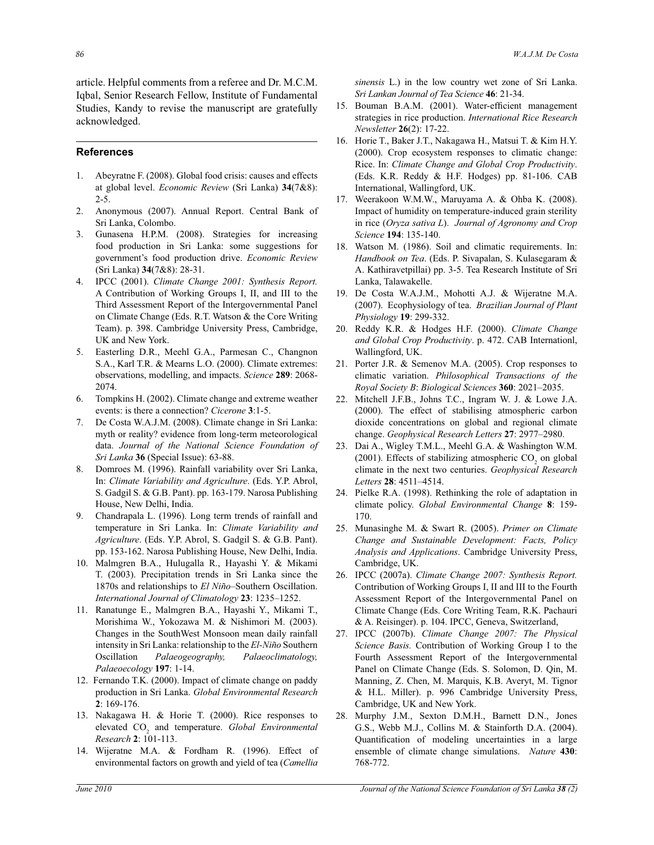article. Helpful comments from a referee and Dr. M.C.M. Iqbal, Senior Research Fellow, Institute of Fundamental Studies, Kandy to revise the manuscript are gratefully acknowledged.

#### **References**

- 1. Abeyratne F. (2008). Global food crisis: causes and effects at global level. *Economic Review* (Sri Lanka) **34**(7&8): 2-5.
- 2. Anonymous (2007). Annual Report. Central Bank of Sri Lanka, Colombo.
- 3. Gunasena H.P.M. (2008). Strategies for increasing food production in Sri Lanka: some suggestions for government's food production drive. *Economic Review*  (Sri Lanka) **34**(7&8): 28-31.
- 4. IPCC (2001). *Climate Change 2001: Synthesis Report.*  A Contribution of Working Groups I, II, and III to the Third Assessment Report of the Intergovernmental Panel on Climate Change (Eds. R.T. Watson & the Core Writing Team). p. 398. Cambridge University Press, Cambridge, UK and New York.
- 5. Easterling D.R., Meehl G.A., Parmesan C., Changnon S.A., Karl T.R. & Mearns L.O. (2000). Climate extremes: observations, modelling, and impacts. *Science* **289**: 2068- 2074.
- 6. Tompkins H. (2002). Climate change and extreme weather events: is there a connection? *Cicerone* **3**:1-5.
- 7. De Costa W.A.J.M. (2008). Climate change in Sri Lanka: myth or reality? evidence from long-term meteorological data. *Journal of the National Science Foundation of Sri Lanka* **36** (Special Issue): 63-88.
- 8. Domroes M. (1996). Rainfall variability over Sri Lanka, In: *Climate Variability and Agriculture*. (Eds. Y.P. Abrol, S. Gadgil S. & G.B. Pant). pp. 163-179. Narosa Publishing House, New Delhi, India.
- 9. Chandrapala L. (1996). Long term trends of rainfall and temperature in Sri Lanka. In: *Climate Variability and Agriculture*. (Eds. Y.P. Abrol, S. Gadgil S. & G.B. Pant). pp. 153-162. Narosa Publishing House, New Delhi, India.
- 10. Malmgren B.A., Hulugalla R., Hayashi Y. & Mikami T. (2003). Precipitation trends in Sri Lanka since the 1870s and relationships to *El Niño*–Southern Oscillation. *International Journal of Climatology* **23**: 1235–1252.
- 11. Ranatunge E., Malmgren B.A., Hayashi Y., Mikami T., Morishima W., Yokozawa M. & Nishimori M. (2003). Changes in the SouthWest Monsoon mean daily rainfall intensity in Sri Lanka: relationship to the *El-Niño* Southern Oscillation *Palaeogeography, Palaeoclimatology, Palaeoecology* **197**: 1-14.
- 12. Fernando T.K. (2000). Impact of climate change on paddy production in Sri Lanka. *Global Environmental Research*  **2**: 169-176.
- 13. Nakagawa H. & Horie T. (2000). Rice responses to elevated CO<sub>2</sub> and temperature. *Global Environmental Research* **2**: 101-113.
- 14. Wijeratne M.A. & Fordham R. (1996). Effect of environmental factors on growth and yield of tea (*Camellia*

*sinensis* L.) in the low country wet zone of Sri Lanka. *Sri Lankan Journal of Tea Science* **46**: 21-34.

- 15. Bouman B.A.M. (2001). Water-efficient management strategies in rice production. *International Rice Research Newsletter* **26**(2): 17-22.
- 16. Horie T., Baker J.T., Nakagawa H., Matsui T. & Kim H.Y. (2000). Crop ecosystem responses to climatic change: Rice. In: *Climate Change and Global Crop Productivity*. (Eds. K.R. Reddy & H.F. Hodges) pp. 81-106. CAB International, Wallingford, UK.
- 17. Weerakoon W.M.W., Maruyama A. & Ohba K. (2008). Impact of humidity on temperature-induced grain sterility in rice (*Oryza sativa L*). *Journal of Agronomy and Crop Science* **194**: 135-140.
- 18. Watson M. (1986). Soil and climatic requirements. In: *Handbook on Tea*. (Eds. P. Sivapalan, S. Kulasegaram & A. Kathiravetpillai) pp. 3-5. Tea Research Institute of Sri Lanka, Talawakelle.
- 19. De Costa W.A.J.M., Mohotti A.J. & Wijeratne M.A. (2007). Ecophysiology of tea. *Brazilian Journal of Plant Physiology* **19**: 299-332.
- 20. Reddy K.R. & Hodges H.F. (2000). *Climate Change and Global Crop Productivity*. p. 472. CAB Internationl, Wallingford, UK.
- 21. Porter J.R. & Semenov M.A. (2005). Crop responses to climatic variation. *Philosophical Transactions of the Royal Society B*: *Biological Sciences* **360**: 2021–2035.
- 22. Mitchell J.F.B., Johns T.C., Ingram W. J. & Lowe J.A. (2000). The effect of stabilising atmospheric carbon dioxide concentrations on global and regional climate change. *Geophysical Research Letters* **27**: 2977–2980.
- 23. Dai A., Wigley T.M.L., Meehl G.A. & Washington W.M. (2001). Effects of stabilizing atmospheric  $CO_2$  on global climate in the next two centuries. *Geophysical Research Letters* **28**: 4511–4514.
- 24. Pielke R.A. (1998). Rethinking the role of adaptation in climate policy. *Global Environmental Change* **8**: 159- 170.
- 25. Munasinghe M. & Swart R. (2005). *Primer on Climate Change and Sustainable Development: Facts, Policy Analysis and Applications*. Cambridge University Press, Cambridge, UK.
- 26. IPCC (2007a). *Climate Change 2007: Synthesis Report.*  Contribution of Working Groups I, II and III to the Fourth Assessment Report of the Intergovernmental Panel on Climate Change (Eds. Core Writing Team, R.K. Pachauri & A. Reisinger). p. 104. IPCC, Geneva, Switzerland,
- 27. IPCC (2007b). *Climate Change 2007: The Physical Science Basis.* Contribution of Working Group I to the Fourth Assessment Report of the Intergovernmental Panel on Climate Change (Eds. S. Solomon, D. Qin, M. Manning, Z. Chen, M. Marquis, K.B. Averyt, M. Tignor & H.L. Miller). p. 996 Cambridge University Press, Cambridge, UK and New York.
- 28. Murphy J.M., Sexton D.M.H., Barnett D.N., Jones G.S., Webb M.J., Collins M. & Stainforth D.A. (2004). Quantification of modeling uncertainties in a large ensemble of climate change simulations. *Nature* **430**: 768-772.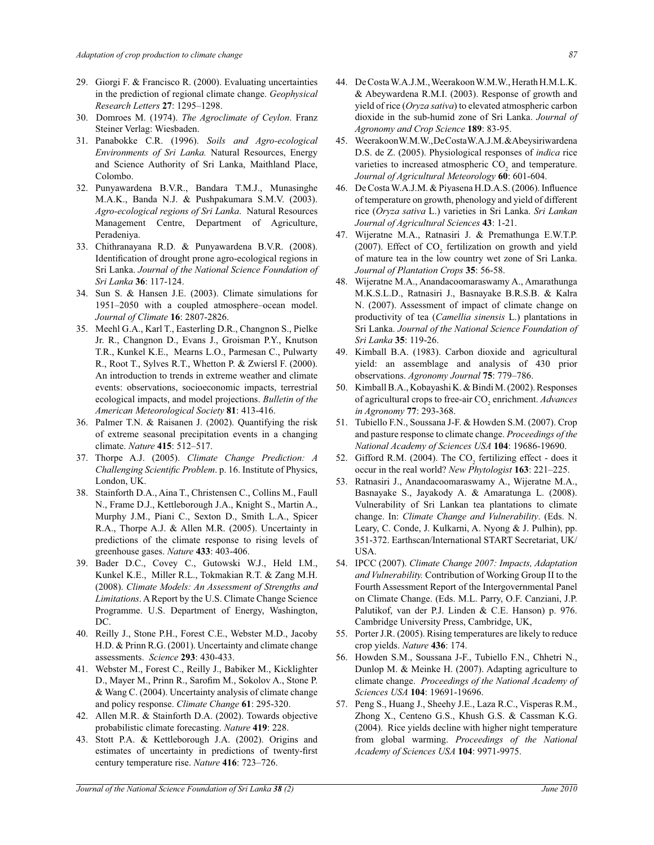- 29. Giorgi F. & Francisco R. (2000). Evaluating uncertainties in the prediction of regional climate change. *Geophysical Research Letters* **27**: 1295–1298.
- 30. Domroes M. (1974). *The Agroclimate of Ceylon*. Franz Steiner Verlag: Wiesbaden.
- 31. Panabokke C.R. (1996). *Soils and Agro-ecological Environments of Sri Lanka.* Natural Resources, Energy and Science Authority of Sri Lanka, Maithland Place, Colombo.
- 32. Punyawardena B.V.R., Bandara T.M.J., Munasinghe M.A.K., Banda N.J. & Pushpakumara S.M.V. (2003). *Agro-ecological regions of Sri Lanka*. Natural Resources Management Centre, Department of Agriculture, Peradeniya.
- 33. Chithranayana R.D. & Punyawardena B.V.R. (2008). Identification of drought prone agro-ecological regions in Sri Lanka. *Journal of the National Science Foundation of Sri Lanka* **36**: 117-124.
- 34. Sun S. & Hansen J.E. (2003). Climate simulations for 1951–2050 with a coupled atmosphere–ocean model. *Journal of Climate* **16**: 2807-2826.
- 35. Meehl G.A., Karl T., Easterling D.R., Changnon S., Pielke Jr. R., Changnon D., Evans J., Groisman P.Y., Knutson T.R., Kunkel K.E., Mearns L.O., Parmesan C., Pulwarty R., Root T., Sylves R.T., Whetton P. & Zwiersl F. (2000). An introduction to trends in extreme weather and climate events: observations, socioeconomic impacts, terrestrial ecological impacts, and model projections. *Bulletin of the American Meteorological Society* **81**: 413-416.
- 36. Palmer T.N. & Raisanen J. (2002). Quantifying the risk of extreme seasonal precipitation events in a changing climate. *Nature* **415**: 512–517.
- 37. Thorpe A.J. (2005). *Climate Change Prediction: A Challenging Scientific Problem*. p. 16. Institute of Physics, London, UK.
- 38. Stainforth D.A., Aina T., Christensen C., Collins M., Faull N., Frame D.J., Kettleborough J.A., Knight S., Martin A., Murphy J.M., Piani C., Sexton D., Smith L.A., Spicer R.A., Thorpe A.J. & Allen M.R. (2005). Uncertainty in predictions of the climate response to rising levels of greenhouse gases. *Nature* **433**: 403-406.
- 39. Bader D.C., Covey C., Gutowski W.J., Held I.M., Kunkel K.E., Miller R.L., Tokmakian R.T. & Zang M.H. (2008). *Climate Models: An Assessment of Strengths and Limitations*. A Report by the U.S. Climate Change Science Programme. U.S. Department of Energy, Washington, DC.
- 40. Reilly J., Stone P.H., Forest C.E., Webster M.D., Jacoby H.D. & Prinn R.G. (2001). Uncertainty and climate change assessments. *Science* **293**: 430-433.
- 41. Webster M., Forest C., Reilly J., Babiker M., Kicklighter D., Mayer M., Prinn R., Sarofim M., Sokolov A., Stone P. & Wang C. (2004). Uncertainty analysis of climate change and policy response. *Climate Change* **61**: 295-320.
- 42. Allen M.R. & Stainforth D.A. (2002). Towards objective probabilistic climate forecasting. *Nature* **419**: 228.
- 43. Stott P.A. & Kettleborough J.A. (2002). Origins and estimates of uncertainty in predictions of twenty-first century temperature rise. *Nature* **416**: 723–726.
- 44. De Costa W.A.J.M., Weerakoon W.M.W., Herath H.M.L.K. & Abeywardena R.M.I. (2003). Response of growth and yield of rice (*Oryza sativa*) to elevated atmospheric carbon dioxide in the sub-humid zone of Sri Lanka. *Journal of Agronomy and Crop Science* **189**: 83-95.
- 45. Weerakoon W.M.W., De Costa W.A.J.M. & Abeysiriwardena D.S. de Z. (2005). Physiological responses of *indica* rice varieties to increased atmospheric  $CO<sub>2</sub>$  and temperature. *Journal of Agricultural Meteorology* **60**: 601-604.
- 46. De Costa W.A.J.M. & Piyasena H.D.A.S. (2006). Influence of temperature on growth, phenology and yield of different rice (*Oryza sativa* L.) varieties in Sri Lanka. *Sri Lankan Journal of Agricultural Sciences* **43**: 1-21.
- 47. Wijeratne M.A., Ratnasiri J. & Premathunga E.W.T.P. (2007). Effect of  $CO_2$  fertilization on growth and yield of mature tea in the low country wet zone of Sri Lanka. *Journal of Plantation Crops* **35**: 56-58.
- 48. Wijeratne M.A., Anandacoomaraswamy A., Amarathunga M.K.S.L.D., Ratnasiri J., Basnayake B.R.S.B. & Kalra N. (2007). Assessment of impact of climate change on productivity of tea (*Camellia sinensis* L.) plantations in Sri Lanka. *Journal of the National Science Foundation of Sri Lanka* **35**: 119-26.
- 49. Kimball B.A. (1983). Carbon dioxide and agricultural yield: an assemblage and analysis of 430 prior observations. *Agronomy Journal* **75**: 779–786.
- 50. Kimball B.A., Kobayashi K. & Bindi M. (2002). Responses of agricultural crops to free-air CO<sub>2</sub> enrichment. *Advances in Agronomy* **77**: 293-368.
- 51. Tubiello F.N., Soussana J-F. & Howden S.M. (2007). Crop and pasture response to climate change. *Proceedings of the National Academy of Sciences USA* **104**: 19686-19690.
- 52. Gifford R.M. (2004). The  $CO_2$  fertilizing effect does it occur in the real world? *New Phytologist* **163**: 221–225.
- 53. Ratnasiri J., Anandacoomaraswamy A., Wijeratne M.A., Basnayake S., Jayakody A. & Amaratunga L. (2008). Vulnerability of Sri Lankan tea plantations to climate change. In: *Climate Change and Vulnerability*. (Eds. N. Leary, C. Conde, J. Kulkarni, A. Nyong & J. Pulhin), pp. 351-372. Earthscan/International START Secretariat, UK/ USA.
- 54. IPCC (2007). *Climate Change 2007: Impacts, Adaptation and Vulnerability.* Contribution of Working Group II to the Fourth Assessment Report of the Intergovernmental Panel on Climate Change. (Eds. M.L. Parry, O.F. Canziani, J.P. Palutikof, van der P.J. Linden & C.E. Hanson) p. 976. Cambridge University Press, Cambridge, UK,
- 55. Porter J.R. (2005). Rising temperatures are likely to reduce crop yields. *Nature* **436**: 174.
- 56.Howden S.M., Soussana J-F., Tubiello F.N., Chhetri N., Dunlop M. & Meinke H. (2007). Adapting agriculture to climate change. *Proceedings of the National Academy of Sciences USA* **104**: 19691-19696.
- 57. Peng S., Huang J., Sheehy J.E., Laza R.C., Visperas R.M., Zhong X., Centeno G.S., Khush G.S. & Cassman K.G. (2004). Rice yields decline with higher night temperature from global warming. *Proceedings of the National Academy of Sciences USA* **104**: 9971-9975.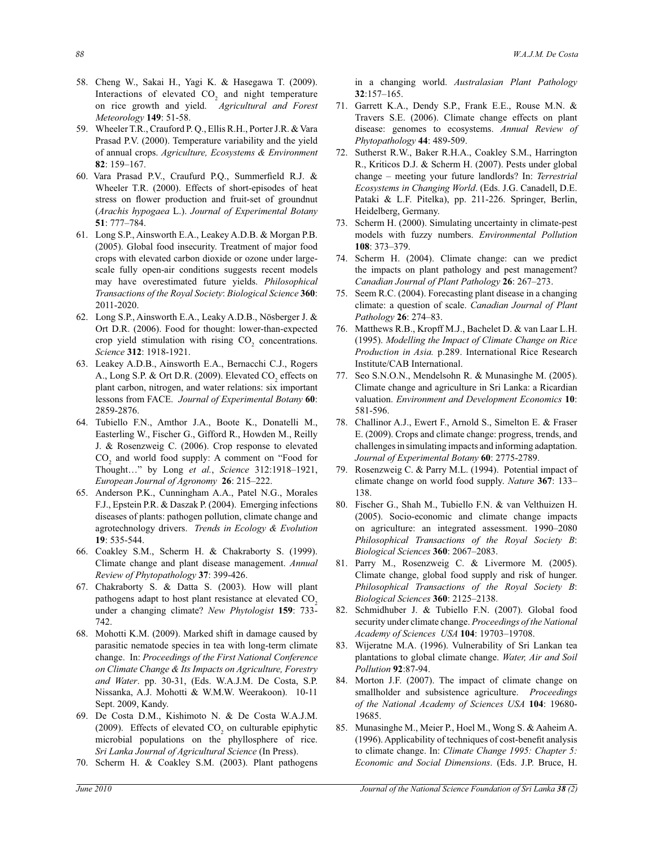- 58. Cheng W., Sakai H., Yagi K. & Hasegawa T. (2009). Interactions of elevated  $CO<sub>2</sub>$  and night temperature on rice growth and yield. *Agricultural and Forest Meteorology* **149**: 51-58.
- 59. Wheeler T.R., Crauford P. Q., Ellis R.H., Porter J.R. & Vara Prasad P.V. (2000). Temperature variability and the yield of annual crops. *Agriculture, Ecosystems & Environment* **82**: 159–167.
- 60. Vara Prasad P.V., Craufurd P.Q., Summerfield R.J. & Wheeler T.R. (2000). Effects of short-episodes of heat stress on flower production and fruit-set of groundnut (*Arachis hypogaea* L.). *Journal of Experimental Botany* **51**: 777–784.
- 61.Long S.P., Ainsworth E.A., Leakey A.D.B. & Morgan P.B. (2005). Global food insecurity. Treatment of major food crops with elevated carbon dioxide or ozone under largescale fully open-air conditions suggests recent models may have overestimated future yields. *Philosophical Transactions of the Royal Society*: *Biological Science* **360**: 2011-2020.
- 62. Long S.P., Ainsworth E.A., Leaky A.D.B., Nösberger J. & Ort D.R. (2006). Food for thought: lower-than-expected crop yield stimulation with rising  $CO<sub>2</sub>$  concentrations. *Science* **312**: 1918-1921.
- 63. Leakey A.D.B., Ainsworth E.A., Bernacchi C.J., Rogers A., Long S.P.  $\&$  Ort D.R. (2009). Elevated CO<sub>2</sub> effects on plant carbon, nitrogen, and water relations: six important lessons from FACE. *Journal of Experimental Botany* **60**: 2859-2876.
- 64. Tubiello F.N., Amthor J.A., Boote K., Donatelli M., Easterling W., Fischer G., Gifford R., Howden M., Reilly J. & Rosenzweig C. (2006). Crop response to elevated  $CO<sub>2</sub>$  and world food supply: A comment on "Food for Thought…" by Long *et al.*, *Science* 312:1918–1921, *European Journal of Agronomy* **26**: 215–222.
- 65. Anderson P.K., Cunningham A.A., Patel N.G., Morales F.J., Epstein P.R. & Daszak P. (2004). Emerging infections diseases of plants: pathogen pollution, climate change and agrotechnology drivers. *Trends in Ecology & Evolution*  **19**: 535-544.
- 66. Coakley S.M., Scherm H. & Chakraborty S. (1999). Climate change and plant disease management. *Annual Review of Phytopathology* **37**: 399-426.
- 67. Chakraborty S. & Datta S. (2003). How will plant pathogens adapt to host plant resistance at elevated CO<sub>2</sub> under a changing climate? *New Phytologist* **159**: 733- 742.
- 68. Mohotti K.M. (2009). Marked shift in damage caused by parasitic nematode species in tea with long-term climate change. In: *Proceedings of the First National Conference on Climate Change & Its Impacts on Agriculture, Forestry and Water*. pp. 30-31, (Eds. W.A.J.M. De Costa, S.P. Nissanka, A.J. Mohotti & W.M.W. Weerakoon). 10-11 Sept. 2009, Kandy.
- 69. De Costa D.M., Kishimoto N. & De Costa W.A.J.M. (2009). Effects of elevated  $CO<sub>2</sub>$  on culturable epiphytic microbial populations on the phyllosphere of rice. *Sri Lanka Journal of Agricultural Science* (In Press).
- 70. Scherm H. & Coakley S.M. (2003). Plant pathogens

in a changing world. *Australasian Plant Pathology*  **32**:157–165.

- 71. Garrett K.A., Dendy S.P., Frank E.E., Rouse M.N. & Travers S.E. (2006). Climate change effects on plant disease: genomes to ecosystems. *Annual Review of Phytopathology* **44**: 489-509.
- 72. Sutherst R.W., Baker R.H.A., Coakley S.M., Harrington R., Kriticos D.J. & Scherm H. (2007). Pests under global change – meeting your future landlords? In: *Terrestrial Ecosystems in Changing World*. (Eds. J.G. Canadell, D.E. Pataki & L.F. Pitelka), pp. 211-226. Springer, Berlin, Heidelberg, Germany.
- 73. Scherm H. (2000). Simulating uncertainty in climate-pest models with fuzzy numbers. *Environmental Pollution* **108**: 373–379.
- 74. Scherm H. (2004). Climate change: can we predict the impacts on plant pathology and pest management? *Canadian Journal of Plant Pathology* **26**: 267–273.
- 75. Seem R.C. (2004). Forecasting plant disease in a changing climate: a question of scale. *Canadian Journal of Plant Pathology* **26**: 274–83.
- 76. Matthews R.B., Kropff M.J., Bachelet D. & van Laar L.H. (1995). *Modelling the Impact of Climate Change on Rice Production in Asia.* p.289. International Rice Research Institute/CAB International.
- 77. Seo S.N.O.N., Mendelsohn R. & Munasinghe M. (2005). Climate change and agriculture in Sri Lanka: a Ricardian valuation. *Environment and Development Economics* **10**: 581-596.
- 78. Challinor A.J., Ewert F., Arnold S., Simelton E. & Fraser E. (2009). Crops and climate change: progress, trends, and challenges in simulating impacts and informing adaptation. *Journal of Experimental Botany* **60**: 2775-2789.
- 79. Rosenzweig C. & Parry M.L. (1994). Potential impact of climate change on world food supply. *Nature* **367**: 133– 138.
- 80. Fischer G., Shah M., Tubiello F.N. & van Velthuizen H. (2005). Socio-economic and climate change impacts on agriculture: an integrated assessment. 1990–2080 *Philosophical Transactions of the Royal Society B*: *Biological Sciences* **360**: 2067–2083.
- 81. Parry M., Rosenzweig C. & Livermore M. (2005). Climate change, global food supply and risk of hunger. *Philosophical Transactions of the Royal Society B*: *Biological Sciences* **360**: 2125–2138.
- 82. Schmidhuber J. & Tubiello F.N. (2007). Global food security under climate change. *Proceedings of the National Academy of Sciences USA* **104**: 19703–19708.
- 83. Wijeratne M.A. (1996). Vulnerability of Sri Lankan tea plantations to global climate change. *Water, Air and Soil Pollution* **92**:87-94.
- 84. Morton J.F. (2007). The impact of climate change on smallholder and subsistence agriculture. *Proceedings of the National Academy of Sciences USA* **104**: 19680- 19685.
- 85. Munasinghe M., Meier P., Hoel M., Wong S. & Aaheim A. (1996). Applicability of techniques of cost-benefit analysis to climate change. In: *Climate Change 1995: Chapter 5: Economic and Social Dimensions*. (Eds. J.P. Bruce, H.